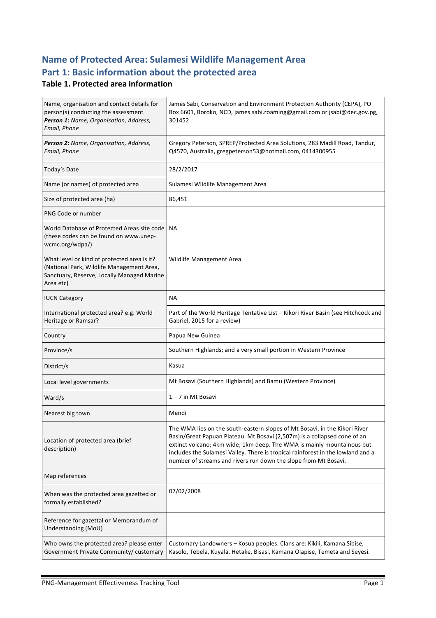# **Name of Protected Area: Sulamesi Wildlife Management Area** Part 1: Basic information about the protected area

#### **Table 1. Protected area information**

| Name, organisation and contact details for<br>person(s) conducting the assessment<br>Person 1: Name, Organisation, Address,<br>Email, Phone         | James Sabi, Conservation and Environment Protection Authority (CEPA), PO<br>Box 6601, Boroko, NCD, james.sabi.roaming@gmail.com or jsabi@dec.gov.pg,<br>301452                                                                                                                                                                                                                         |
|-----------------------------------------------------------------------------------------------------------------------------------------------------|----------------------------------------------------------------------------------------------------------------------------------------------------------------------------------------------------------------------------------------------------------------------------------------------------------------------------------------------------------------------------------------|
| Person 2: Name, Organisation, Address,<br>Email, Phone                                                                                              | Gregory Peterson, SPREP/Protected Area Solutions, 283 Madill Road, Tandur,<br>Q4570, Australia, gregpeterson53@hotmail.com, 0414300955                                                                                                                                                                                                                                                 |
| Today's Date                                                                                                                                        | 28/2/2017                                                                                                                                                                                                                                                                                                                                                                              |
| Name (or names) of protected area                                                                                                                   | Sulamesi Wildlife Management Area                                                                                                                                                                                                                                                                                                                                                      |
| Size of protected area (ha)                                                                                                                         | 86,451                                                                                                                                                                                                                                                                                                                                                                                 |
| PNG Code or number                                                                                                                                  |                                                                                                                                                                                                                                                                                                                                                                                        |
| World Database of Protected Areas site code   NA<br>(these codes can be found on www.unep-<br>wcmc.org/wdpa/)                                       |                                                                                                                                                                                                                                                                                                                                                                                        |
| What level or kind of protected area is it?<br>(National Park, Wildlife Management Area,<br>Sanctuary, Reserve, Locally Managed Marine<br>Area etc) | Wildlife Management Area                                                                                                                                                                                                                                                                                                                                                               |
| <b>IUCN Category</b>                                                                                                                                | NA.                                                                                                                                                                                                                                                                                                                                                                                    |
| International protected area? e.g. World<br>Heritage or Ramsar?                                                                                     | Part of the World Heritage Tentative List – Kikori River Basin (see Hitchcock and<br>Gabriel, 2015 for a review)                                                                                                                                                                                                                                                                       |
| Country                                                                                                                                             | Papua New Guinea                                                                                                                                                                                                                                                                                                                                                                       |
| Province/s                                                                                                                                          | Southern Highlands; and a very small portion in Western Province                                                                                                                                                                                                                                                                                                                       |
| District/s                                                                                                                                          | Kasua                                                                                                                                                                                                                                                                                                                                                                                  |
| Local level governments                                                                                                                             | Mt Bosavi (Southern Highlands) and Bamu (Western Province)                                                                                                                                                                                                                                                                                                                             |
| Ward/s                                                                                                                                              | 1-7 in Mt Bosavi                                                                                                                                                                                                                                                                                                                                                                       |
| Nearest big town                                                                                                                                    | Mendi                                                                                                                                                                                                                                                                                                                                                                                  |
| Location of protected area (brief<br>description)                                                                                                   | The WMA lies on the south-eastern slopes of Mt Bosavi, in the Kikori River<br>Basin/Great Papuan Plateau. Mt Bosavi (2,507m) is a collapsed cone of an<br>extinct volcano; 4km wide; 1km deep. The WMA is mainly mountainous but<br>includes the Sulamesi Valley. There is tropical rainforest in the lowland and a<br>number of streams and rivers run down the slope from Mt Bosavi. |
| Map references                                                                                                                                      |                                                                                                                                                                                                                                                                                                                                                                                        |
| When was the protected area gazetted or<br>formally established?                                                                                    | 07/02/2008                                                                                                                                                                                                                                                                                                                                                                             |
| Reference for gazettal or Memorandum of<br>Understanding (MoU)                                                                                      |                                                                                                                                                                                                                                                                                                                                                                                        |
|                                                                                                                                                     |                                                                                                                                                                                                                                                                                                                                                                                        |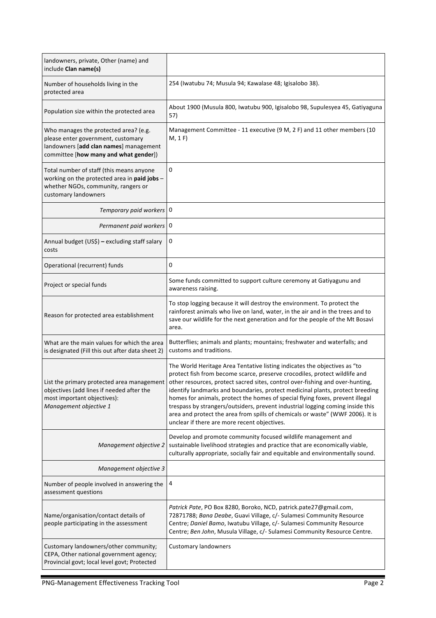| landowners, private, Other (name) and<br>include Clan name(s)                                                                                                  |                                                                                                                                                                                                                                                                                                                                                                                                                                                                                                                                                                                                                                                                           |
|----------------------------------------------------------------------------------------------------------------------------------------------------------------|---------------------------------------------------------------------------------------------------------------------------------------------------------------------------------------------------------------------------------------------------------------------------------------------------------------------------------------------------------------------------------------------------------------------------------------------------------------------------------------------------------------------------------------------------------------------------------------------------------------------------------------------------------------------------|
| Number of households living in the<br>protected area                                                                                                           | 254 (Iwatubu 74; Musula 94; Kawalase 48; Igisalobo 38).                                                                                                                                                                                                                                                                                                                                                                                                                                                                                                                                                                                                                   |
| Population size within the protected area                                                                                                                      | About 1900 (Musula 800, Iwatubu 900, Igisalobo 98, Supulesyea 45, Gatiyaguna<br>57)                                                                                                                                                                                                                                                                                                                                                                                                                                                                                                                                                                                       |
| Who manages the protected area? (e.g.<br>please enter government, customary<br>landowners [add clan names] management<br>committee [how many and what gender]) | Management Committee - 11 executive (9 M, 2 F) and 11 other members (10<br>M, 1 F)                                                                                                                                                                                                                                                                                                                                                                                                                                                                                                                                                                                        |
| Total number of staff (this means anyone<br>working on the protected area in paid jobs -<br>whether NGOs, community, rangers or<br>customary landowners        | 0                                                                                                                                                                                                                                                                                                                                                                                                                                                                                                                                                                                                                                                                         |
| Temporary paid workers   0                                                                                                                                     |                                                                                                                                                                                                                                                                                                                                                                                                                                                                                                                                                                                                                                                                           |
| Permanent paid workers   0                                                                                                                                     |                                                                                                                                                                                                                                                                                                                                                                                                                                                                                                                                                                                                                                                                           |
| Annual budget (US\$) - excluding staff salary<br>costs                                                                                                         | 0                                                                                                                                                                                                                                                                                                                                                                                                                                                                                                                                                                                                                                                                         |
| Operational (recurrent) funds                                                                                                                                  | 0                                                                                                                                                                                                                                                                                                                                                                                                                                                                                                                                                                                                                                                                         |
| Project or special funds                                                                                                                                       | Some funds committed to support culture ceremony at Gatiyagunu and<br>awareness raising.                                                                                                                                                                                                                                                                                                                                                                                                                                                                                                                                                                                  |
| Reason for protected area establishment                                                                                                                        | To stop logging because it will destroy the environment. To protect the<br>rainforest animals who live on land, water, in the air and in the trees and to<br>save our wildlife for the next generation and for the people of the Mt Bosavi<br>area.                                                                                                                                                                                                                                                                                                                                                                                                                       |
| What are the main values for which the area<br>is designated (Fill this out after data sheet 2)                                                                | Butterflies; animals and plants; mountains; freshwater and waterfalls; and<br>customs and traditions.                                                                                                                                                                                                                                                                                                                                                                                                                                                                                                                                                                     |
| objectives (add lines if needed after the<br>most important objectives):<br>Management objective 1                                                             | The World Heritage Area Tentative listing indicates the objectives as "to<br>protect fish from become scarce, preserve crocodiles, protect wildlife and<br>List the primary protected area management other resources, protect sacred sites, control over-fishing and over-hunting,<br>identify landmarks and boundaries, protect medicinal plants, protect breeding<br>homes for animals, protect the homes of special flying foxes, prevent illegal<br>trespass by strangers/outsiders, prevent industrial logging coming inside this<br>area and protect the area from spills of chemicals or waste" (WWF 2006). It is<br>unclear if there are more recent objectives. |
| Management objective 2                                                                                                                                         | Develop and promote community focused wildlife management and<br>sustainable livelihood strategies and practice that are economically viable,<br>culturally appropriate, socially fair and equitable and environmentally sound.                                                                                                                                                                                                                                                                                                                                                                                                                                           |
| Management objective 3                                                                                                                                         |                                                                                                                                                                                                                                                                                                                                                                                                                                                                                                                                                                                                                                                                           |
| Number of people involved in answering the<br>assessment questions                                                                                             | 4                                                                                                                                                                                                                                                                                                                                                                                                                                                                                                                                                                                                                                                                         |
| Name/organisation/contact details of<br>people participating in the assessment                                                                                 | Patrick Pate, PO Box 8280, Boroko, NCD, patrick.pate27@gmail.com,<br>72871788; Bana Deabe, Guavi Village, c/- Sulamesi Community Resource<br>Centre; Daniel Bamo, Iwatubu Village, c/- Sulamesi Community Resource<br>Centre; Ben John, Musula Village, c/- Sulamesi Community Resource Centre.                                                                                                                                                                                                                                                                                                                                                                           |
| Customary landowners/other community;<br>CEPA, Other national government agency;<br>Provincial govt; local level govt; Protected                               | <b>Customary landowners</b>                                                                                                                                                                                                                                                                                                                                                                                                                                                                                                                                                                                                                                               |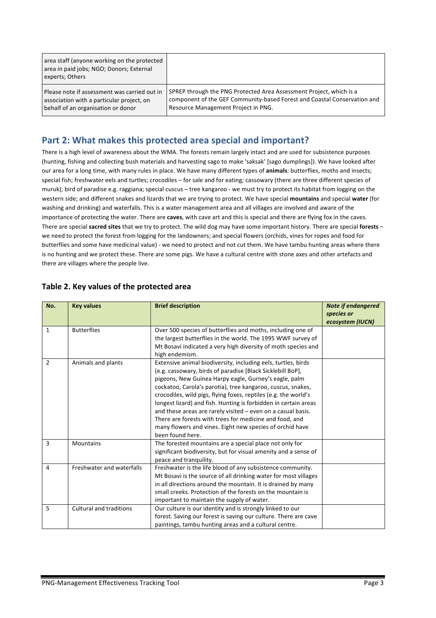| area staff (anyone working on the protected<br>area in paid jobs; NGO; Donors; External<br>experts; Others |                                                                          |
|------------------------------------------------------------------------------------------------------------|--------------------------------------------------------------------------|
| Please note if assessment was carried out in                                                               | SPREP through the PNG Protected Area Assessment Project, which is a      |
| association with a particular project, on                                                                  | component of the GEF Community-based Forest and Coastal Conservation and |
| behalf of an organisation or donor                                                                         | Resource Management Project in PNG.                                      |

## Part 2: What makes this protected area special and important?

There is a high level of awareness about the WMA. The forests remain largely intact and are used for subsistence purposes (hunting, fishing and collecting bush materials and harvesting sago to make 'saksak' [sago dumplings]). We have looked after our area for a long time, with many rules in place. We have many different types of animals: butterflies, moths and insects; special fish; freshwater eels and turtles; crocodiles - for sale and for eating; cassowary (there are three different species of muruk); bird of paradise e.g. raggiana; special cuscus – tree kangaroo - we must try to protect its habitat from logging on the western side; and different snakes and lizards that we are trying to protect. We have special mountains and special water (for washing and drinking) and waterfalls. This is a water management area and all villages are involved and aware of the importance of protecting the water. There are **caves**, with cave art and this is special and there are flying fox in the caves. There are special **sacred sites** that we try to protect. The wild dog may have some important history. There are special forests – we need to protect the forest from logging for the landowners; and special flowers (orchids, vines for ropes and food for butterflies and some have medicinal value) - we need to protect and not cut them. We have tambu hunting areas where there is no hunting and we protect these. There are some pigs. We have a cultural centre with stone axes and other artefacts and there are villages where the people live.

| No.            | <b>Key values</b>         | <b>Brief description</b>                                                        | <b>Note if endangered</b><br>species or |
|----------------|---------------------------|---------------------------------------------------------------------------------|-----------------------------------------|
|                |                           |                                                                                 | ecosystem (IUCN)                        |
| 1              | <b>Butterflies</b>        | Over 500 species of butterflies and moths, including one of                     |                                         |
|                |                           | the largest butterflies in the world. The 1995 WWF survey of                    |                                         |
|                |                           | Mt Bosavi indicated a very high diversity of moth species and<br>high endemism. |                                         |
| $\overline{2}$ | Animals and plants        | Extensive animal biodiversity, including eels, turtles, birds                   |                                         |
|                |                           | (e.g. cassowary, birds of paradise [Black Sicklebill BoP],                      |                                         |
|                |                           | pigeons, New Guinea Harpy eagle, Gurney's eagle, palm                           |                                         |
|                |                           | cockatoo, Carola's parotia), tree kangaroo, cuscus, snakes,                     |                                         |
|                |                           | crocodiles, wild pigs, flying foxes, reptiles (e.g. the world's                 |                                         |
|                |                           | longest lizard) and fish. Hunting is forbidden in certain areas                 |                                         |
|                |                           | and these areas are rarely visited - even on a casual basis.                    |                                         |
|                |                           | There are forests with trees for medicine and food, and                         |                                         |
|                |                           | many flowers and vines. Eight new species of orchid have                        |                                         |
|                |                           | been found here.                                                                |                                         |
| 3              | <b>Mountains</b>          | The forested mountains are a special place not only for                         |                                         |
|                |                           | significant biodiversity, but for visual amenity and a sense of                 |                                         |
|                |                           | peace and tranquility.                                                          |                                         |
| 4              | Freshwater and waterfalls | Freshwater is the life blood of any subsistence community.                      |                                         |
|                |                           | Mt Bosavi is the source of all drinking water for most villages                 |                                         |
|                |                           | in all directions around the mountain. It is drained by many                    |                                         |
|                |                           | small creeks. Protection of the forests on the mountain is                      |                                         |
|                |                           | important to maintain the supply of water.                                      |                                         |
| 5              | Cultural and traditions   | Our culture is our identity and is strongly linked to our                       |                                         |
|                |                           | forest. Saving our forest is saving our culture. There are cave                 |                                         |
|                |                           | paintings, tambu hunting areas and a cultural centre.                           |                                         |

#### Table 2. Key values of the protected area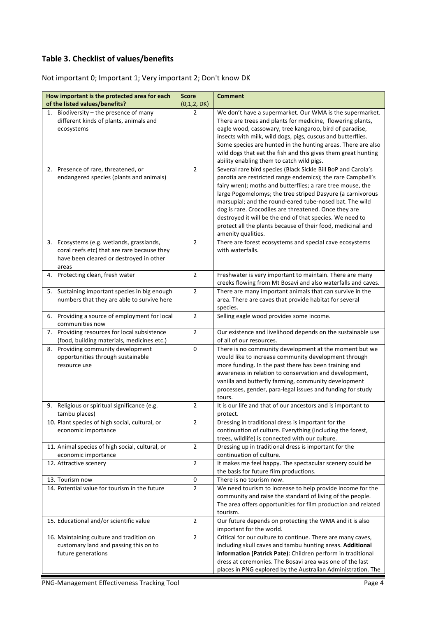## **Table 3. Checklist of values/benefits**

Not important 0; Important 1; Very important 2; Don't know DK

| How important is the protected area for each     | <b>Score</b>   | <b>Comment</b>                                                                          |
|--------------------------------------------------|----------------|-----------------------------------------------------------------------------------------|
| of the listed values/benefits?                   | (0,1,2, DK)    |                                                                                         |
| 1. Biodiversity - the presence of many           | $\overline{2}$ | We don't have a supermarket. Our WMA is the supermarket.                                |
| different kinds of plants, animals and           |                | There are trees and plants for medicine, flowering plants,                              |
| ecosystems                                       |                | eagle wood, cassowary, tree kangaroo, bird of paradise,                                 |
|                                                  |                | insects with milk, wild dogs, pigs, cuscus and butterflies.                             |
|                                                  |                | Some species are hunted in the hunting areas. There are also                            |
|                                                  |                | wild dogs that eat the fish and this gives them great hunting                           |
|                                                  |                | ability enabling them to catch wild pigs.                                               |
| 2. Presence of rare, threatened, or              | $\overline{2}$ | Several rare bird species (Black Sickle Bill BoP and Carola's                           |
| endangered species (plants and animals)          |                | parotia are restricted range endemics); the rare Campbell's                             |
|                                                  |                | fairy wren); moths and butterflies; a rare tree mouse, the                              |
|                                                  |                | large Pogomelomys; the tree striped Dasyure (a carnivorous                              |
|                                                  |                | marsupial; and the round-eared tube-nosed bat. The wild                                 |
|                                                  |                | dog is rare. Crocodiles are threatened. Once they are                                   |
|                                                  |                | destroyed it will be the end of that species. We need to                                |
|                                                  |                | protect all the plants because of their food, medicinal and<br>amenity qualities.       |
| 3. Ecosystems (e.g. wetlands, grasslands,        | $\overline{2}$ | There are forest ecosystems and special cave ecosystems                                 |
| coral reefs etc) that are rare because they      |                | with waterfalls.                                                                        |
| have been cleared or destroyed in other          |                |                                                                                         |
| areas                                            |                |                                                                                         |
| Protecting clean, fresh water<br>4.              | $\overline{2}$ | Freshwater is very important to maintain. There are many                                |
|                                                  |                | creeks flowing from Mt Bosavi and also waterfalls and caves.                            |
| Sustaining important species in big enough<br>5. | $\overline{2}$ | There are many important animals that can survive in the                                |
| numbers that they are able to survive here       |                | area. There are caves that provide habitat for several                                  |
|                                                  |                | species.                                                                                |
| 6. Providing a source of employment for local    | $\overline{2}$ | Selling eagle wood provides some income.                                                |
| communities now                                  |                |                                                                                         |
| Providing resources for local subsistence<br>7.  | $\overline{2}$ | Our existence and livelihood depends on the sustainable use                             |
| (food, building materials, medicines etc.)       |                | of all of our resources.                                                                |
| Providing community development<br>8.            | $\pmb{0}$      | There is no community development at the moment but we                                  |
| opportunities through sustainable                |                | would like to increase community development through                                    |
| resource use                                     |                | more funding. In the past there has been training and                                   |
|                                                  |                | awareness in relation to conservation and development,                                  |
|                                                  |                | vanilla and butterfly farming, community development                                    |
|                                                  |                | processes, gender, para-legal issues and funding for study<br>tours.                    |
| Religious or spiritual significance (e.g.<br>9.  | $\overline{2}$ | It is our life and that of our ancestors and is important to                            |
| tambu places)                                    |                | protect.                                                                                |
| 10. Plant species of high social, cultural, or   | 2              | Dressing in traditional dress is important for the                                      |
| economic importance                              |                | continuation of culture. Everything (including the forest,                              |
|                                                  |                | trees, wildlife) is connected with our culture.                                         |
| 11. Animal species of high social, cultural, or  | $\overline{2}$ | Dressing up in traditional dress is important for the                                   |
| economic importance                              |                | continuation of culture.                                                                |
| 12. Attractive scenery                           | $\overline{2}$ | It makes me feel happy. The spectacular scenery could be                                |
|                                                  |                | the basis for future film productions.                                                  |
| 13. Tourism now                                  | 0              | There is no tourism now.                                                                |
| 14. Potential value for tourism in the future    | $\overline{2}$ | We need tourism to increase to help provide income for the                              |
|                                                  |                | community and raise the standard of living of the people.                               |
|                                                  |                | The area offers opportunities for film production and related                           |
|                                                  |                | tourism.                                                                                |
| 15. Educational and/or scientific value          | $\overline{2}$ | Our future depends on protecting the WMA and it is also                                 |
| 16. Maintaining culture and tradition on         | $\overline{2}$ | important for the world.<br>Critical for our culture to continue. There are many caves, |
| customary land and passing this on to            |                | including skull caves and tambu hunting areas. Additional                               |
| future generations                               |                | information (Patrick Pate): Children perform in traditional                             |
|                                                  |                | dress at ceremonies. The Bosavi area was one of the last                                |
|                                                  |                | places in PNG explored by the Australian Administration. The                            |
|                                                  |                |                                                                                         |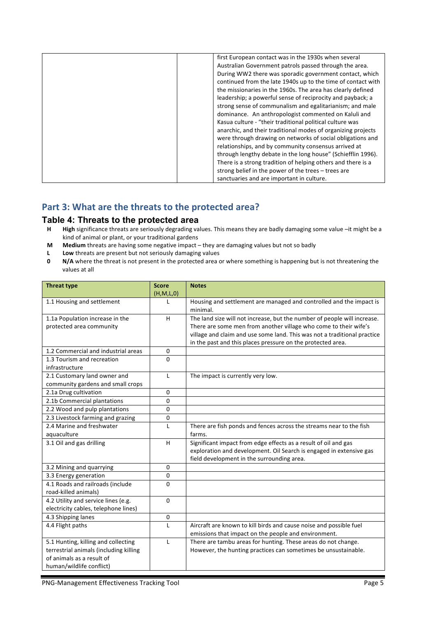| first European contact was in the 1930s when several         |
|--------------------------------------------------------------|
| Australian Government patrols passed through the area.       |
| During WW2 there was sporadic government contact, which      |
| continued from the late 1940s up to the time of contact with |
| the missionaries in the 1960s. The area has clearly defined  |
| leadership; a powerful sense of reciprocity and payback; a   |
| strong sense of communalism and egalitarianism; and male     |
| dominance. An anthropologist commented on Kaluli and         |
| Kasua culture - "their traditional political culture was     |
| anarchic, and their traditional modes of organizing projects |
| were through drawing on networks of social obligations and   |
| relationships, and by community consensus arrived at         |
| through lengthy debate in the long house" (Schiefflin 1996). |
| There is a strong tradition of helping others and there is a |
| strong belief in the power of the trees - trees are          |
| sanctuaries and are important in culture.                    |

# Part 3: What are the threats to the protected area?

# **Table 4: Threats to the protected area**<br>**H** High significance threats are seriously degrading val

- High significance threats are seriously degrading values. This means they are badly damaging some value -it might be a kind of animal or plant, or your traditional gardens
- **M** Medium threats are having some negative impact they are damaging values but not so badly
- **L** Low threats are present but not seriously damaging values
- **0 N/A** where the threat is not present in the protected area or where something is happening but is not threatening the values at all

| <b>Threat type</b>                                       | <b>Score</b> | <b>Notes</b>                                                                    |
|----------------------------------------------------------|--------------|---------------------------------------------------------------------------------|
|                                                          | (H,M,L,0)    |                                                                                 |
| 1.1 Housing and settlement                               | $\mathbf{I}$ | Housing and settlement are managed and controlled and the impact is<br>minimal. |
| 1.1a Population increase in the                          | H            | The land size will not increase, but the number of people will increase.        |
| protected area community                                 |              | There are some men from another village who come to their wife's                |
|                                                          |              | village and claim and use some land. This was not a traditional practice        |
|                                                          |              | in the past and this places pressure on the protected area.                     |
| 1.2 Commercial and industrial areas                      | 0            |                                                                                 |
| 1.3 Tourism and recreation                               | $\Omega$     |                                                                                 |
| infrastructure                                           |              |                                                                                 |
| 2.1 Customary land owner and                             | L            | The impact is currently very low.                                               |
| community gardens and small crops                        |              |                                                                                 |
| 2.1a Drug cultivation                                    | $\mathbf{0}$ |                                                                                 |
| 2.1b Commercial plantations                              | $\Omega$     |                                                                                 |
| 2.2 Wood and pulp plantations                            | 0            |                                                                                 |
| 2.3 Livestock farming and grazing                        | $\mathbf{0}$ |                                                                                 |
| 2.4 Marine and freshwater                                | L            | There are fish ponds and fences across the streams near to the fish             |
| aquaculture                                              |              | farms.                                                                          |
| 3.1 Oil and gas drilling                                 | H            | Significant impact from edge effects as a result of oil and gas                 |
|                                                          |              | exploration and development. Oil Search is engaged in extensive gas             |
|                                                          |              | field development in the surrounding area.                                      |
| 3.2 Mining and quarrying                                 | $\mathbf{0}$ |                                                                                 |
| 3.3 Energy generation                                    | $\Omega$     |                                                                                 |
| 4.1 Roads and railroads (include<br>road-killed animals) | $\Omega$     |                                                                                 |
| 4.2 Utility and service lines (e.g.                      | $\Omega$     |                                                                                 |
| electricity cables, telephone lines)                     |              |                                                                                 |
| 4.3 Shipping lanes                                       | 0            |                                                                                 |
| 4.4 Flight paths                                         | $\mathbf{I}$ | Aircraft are known to kill birds and cause noise and possible fuel              |
|                                                          |              | emissions that impact on the people and environment.                            |
| 5.1 Hunting, killing and collecting                      | $\mathbf{I}$ | There are tambu areas for hunting. These areas do not change.                   |
| terrestrial animals (including killing                   |              | However, the hunting practices can sometimes be unsustainable.                  |
| of animals as a result of                                |              |                                                                                 |
| human/wildlife conflict)                                 |              |                                                                                 |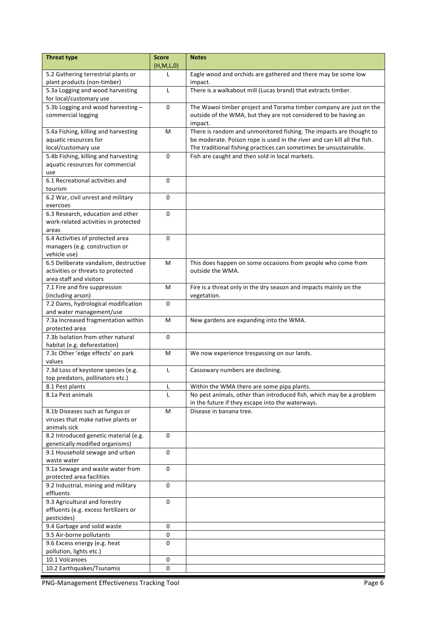| <b>Threat type</b>                                          | <b>Score</b><br>(H,M,L,0) | <b>Notes</b>                                                               |
|-------------------------------------------------------------|---------------------------|----------------------------------------------------------------------------|
| 5.2 Gathering terrestrial plants or                         |                           | Eagle wood and orchids are gathered and there may be some low              |
| plant products (non-timber)                                 |                           | impact.                                                                    |
| 5.3a Logging and wood harvesting<br>for local/customary use | $\mathsf{L}$              | There is a walkabout mill (Lucas brand) that extracts timber.              |
| 5.3b Logging and wood harvesting-                           | 0                         | The Wawoi timber project and Torama timber company are just on the         |
| commercial logging                                          |                           | outside of the WMA, but they are not considered to be having an<br>impact. |
| 5.4a Fishing, killing and harvesting                        | M                         | There is random and unmonitored fishing. The impacts are thought to        |
| aquatic resources for                                       |                           | be moderate. Poison rope is used in the river and can kill all the fish.   |
| local/customary use                                         |                           | The traditional fishing practices can sometimes be unsustainable.          |
| 5.4b Fishing, killing and harvesting                        | $\Omega$                  | Fish are caught and then sold in local markets.                            |
| aquatic resources for commercial                            |                           |                                                                            |
| use                                                         |                           |                                                                            |
| 6.1 Recreational activities and                             | 0                         |                                                                            |
| tourism                                                     |                           |                                                                            |
| 6.2 War, civil unrest and military<br>exercises             | 0                         |                                                                            |
| 6.3 Research, education and other                           | $\Omega$                  |                                                                            |
| work-related activities in protected                        |                           |                                                                            |
| areas                                                       |                           |                                                                            |
| 6.4 Activities of protected area                            | 0                         |                                                                            |
| managers (e.g. construction or                              |                           |                                                                            |
| vehicle use)                                                |                           |                                                                            |
| 6.5 Deliberate vandalism, destructive                       | M                         | This does happen on some occasions from people who come from               |
| activities or threats to protected                          |                           | outside the WMA.                                                           |
| area staff and visitors                                     |                           |                                                                            |
| 7.1 Fire and fire suppression                               | M                         | Fire is a threat only in the dry season and impacts mainly on the          |
| (including arson)                                           |                           | vegetation.                                                                |
| 7.2 Dams, hydrological modification                         | 0                         |                                                                            |
| and water management/use                                    |                           |                                                                            |
| 7.3a Increased fragmentation within                         | M                         | New gardens are expanding into the WMA.                                    |
| protected area                                              |                           |                                                                            |
| 7.3b Isolation from other natural                           | $\Omega$                  |                                                                            |
| habitat (e.g. deforestation)                                |                           |                                                                            |
| 7.3c Other 'edge effects' on park<br>values                 | M                         | We now experience trespassing on our lands.                                |
| 7.3d Loss of keystone species (e.g.                         | L                         | Cassowary numbers are declining.                                           |
| top predators, pollinators etc.)                            |                           |                                                                            |
| 8.1 Pest plants                                             | L                         | Within the WMA there are some pipa plants.                                 |
| 8.1a Pest animals                                           | L                         | No pest animals, other than introduced fish, which may be a problem        |
|                                                             |                           | in the future if they escape into the waterways.                           |
| 8.1b Diseases such as fungus or                             | M                         | Disease in banana tree.                                                    |
| viruses that make native plants or                          |                           |                                                                            |
| animals sick                                                |                           |                                                                            |
| 8.2 Introduced genetic material (e.g.                       | 0                         |                                                                            |
| genetically modified organisms)                             |                           |                                                                            |
| 9.1 Household sewage and urban                              | 0                         |                                                                            |
| waste water                                                 |                           |                                                                            |
| 9.1a Sewage and waste water from                            | 0                         |                                                                            |
| protected area facilities                                   | 0                         |                                                                            |
| 9.2 Industrial, mining and military<br>effluents            |                           |                                                                            |
| 9.3 Agricultural and forestry                               | 0                         |                                                                            |
| effluents (e.g. excess fertilizers or                       |                           |                                                                            |
| pesticides)                                                 |                           |                                                                            |
| 9.4 Garbage and solid waste                                 | $\pmb{0}$                 |                                                                            |
| 9.5 Air-borne pollutants                                    | 0                         |                                                                            |
| 9.6 Excess energy (e.g. heat                                | 0                         |                                                                            |
| pollution, lights etc.)                                     |                           |                                                                            |
| 10.1 Volcanoes                                              | 0                         |                                                                            |
| 10.2 Earthquakes/Tsunamis                                   | $\pmb{0}$                 |                                                                            |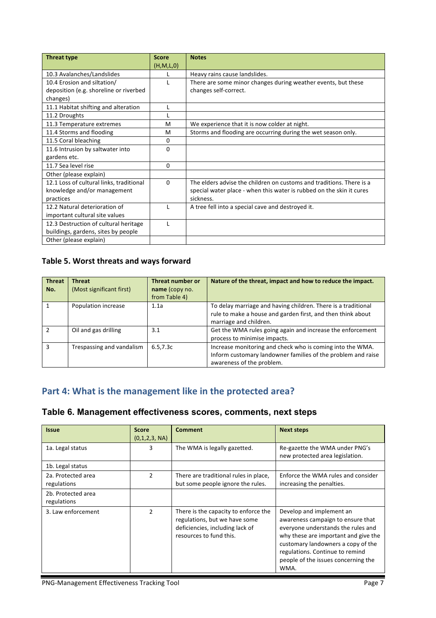| <b>Threat type</b>                       | <b>Score</b> | <b>Notes</b>                                                         |
|------------------------------------------|--------------|----------------------------------------------------------------------|
|                                          | (H, M, L, 0) |                                                                      |
| 10.3 Avalanches/Landslides               |              | Heavy rains cause landslides.                                        |
| 10.4 Erosion and siltation/              |              | There are some minor changes during weather events, but these        |
| deposition (e.g. shoreline or riverbed   |              | changes self-correct.                                                |
| changes)                                 |              |                                                                      |
| 11.1 Habitat shifting and alteration     |              |                                                                      |
| 11.2 Droughts                            |              |                                                                      |
| 11.3 Temperature extremes                | м            | We experience that it is now colder at night.                        |
| 11.4 Storms and flooding                 | м            | Storms and flooding are occurring during the wet season only.        |
| 11.5 Coral bleaching                     | 0            |                                                                      |
| 11.6 Intrusion by saltwater into         | 0            |                                                                      |
| gardens etc.                             |              |                                                                      |
| 11.7 Sea level rise                      | 0            |                                                                      |
| Other (please explain)                   |              |                                                                      |
| 12.1 Loss of cultural links, traditional | $\Omega$     | The elders advise the children on customs and traditions. There is a |
| knowledge and/or management              |              | special water place - when this water is rubbed on the skin it cures |
| practices                                |              | sickness.                                                            |
| 12.2 Natural deterioration of            |              | A tree fell into a special cave and destroyed it.                    |
| important cultural site values           |              |                                                                      |
| 12.3 Destruction of cultural heritage    |              |                                                                      |
| buildings, gardens, sites by people      |              |                                                                      |
| Other (please explain)                   |              |                                                                      |

## Table 5. Worst threats and ways forward

| <b>Threat</b> | <b>Threat</b>             | <b>Threat number or</b> | Nature of the threat, impact and how to reduce the impact.                            |
|---------------|---------------------------|-------------------------|---------------------------------------------------------------------------------------|
| No.           | (Most significant first)  | name (copy no.          |                                                                                       |
|               |                           | from Table 4)           |                                                                                       |
|               | Population increase       | 1.1a                    | To delay marriage and having children. There is a traditional                         |
|               |                           |                         | rule to make a house and garden first, and then think about<br>marriage and children. |
|               | Oil and gas drilling      | 3.1                     | Get the WMA rules going again and increase the enforcement                            |
|               |                           |                         | process to minimise impacts.                                                          |
| ς             | Trespassing and vandalism | 6.5, 7.3c               | Increase monitoring and check who is coming into the WMA.                             |
|               |                           |                         | Inform customary landowner families of the problem and raise                          |
|               |                           |                         | awareness of the problem.                                                             |

# Part 4: What is the management like in the protected area?

## **Table 6. Management effectiveness scores, comments, next steps**

| <b>Issue</b>                      | <b>Score</b><br>(0,1,2,3, NA) | <b>Comment</b>                                                                                                                      | <b>Next steps</b>                                                                                                                                                                                                                                                   |
|-----------------------------------|-------------------------------|-------------------------------------------------------------------------------------------------------------------------------------|---------------------------------------------------------------------------------------------------------------------------------------------------------------------------------------------------------------------------------------------------------------------|
| 1a. Legal status                  | 3                             | The WMA is legally gazetted.                                                                                                        | Re-gazette the WMA under PNG's<br>new protected area legislation.                                                                                                                                                                                                   |
| 1b. Legal status                  |                               |                                                                                                                                     |                                                                                                                                                                                                                                                                     |
| 2a. Protected area<br>regulations | 2                             | There are traditional rules in place,<br>but some people ignore the rules.                                                          | Enforce the WMA rules and consider<br>increasing the penalties.                                                                                                                                                                                                     |
| 2b. Protected area<br>regulations |                               |                                                                                                                                     |                                                                                                                                                                                                                                                                     |
| 3. Law enforcement                | $\overline{2}$                | There is the capacity to enforce the<br>regulations, but we have some<br>deficiencies, including lack of<br>resources to fund this. | Develop and implement an<br>awareness campaign to ensure that<br>everyone understands the rules and<br>why these are important and give the<br>customary landowners a copy of the<br>regulations. Continue to remind<br>people of the issues concerning the<br>WMA. |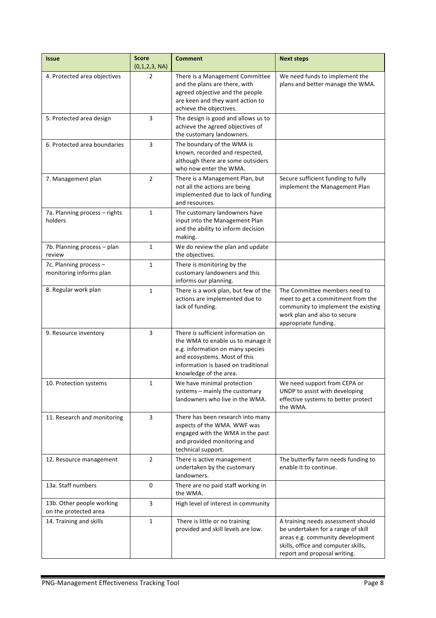| <b>Issue</b>                                       | <b>Score</b><br>(0,1,2,3, NA) | <b>Comment</b>                                                                                                                                                                                               | <b>Next steps</b>                                                                                                                                                                   |
|----------------------------------------------------|-------------------------------|--------------------------------------------------------------------------------------------------------------------------------------------------------------------------------------------------------------|-------------------------------------------------------------------------------------------------------------------------------------------------------------------------------------|
| 4. Protected area objectives                       | $\overline{2}$                | There is a Management Committee<br>and the plans are there, with<br>agreed objective and the people<br>are keen and they want action to<br>achieve the objectives.                                           | We need funds to implement the<br>plans and better manage the WMA.                                                                                                                  |
| 5. Protected area design                           | 3                             | The design is good and allows us to<br>achieve the agreed objectives of<br>the customary landowners.                                                                                                         |                                                                                                                                                                                     |
| 6. Protected area boundaries                       | 3                             | The boundary of the WMA is<br>known, recorded and respected,<br>although there are some outsiders<br>who now enter the WMA.                                                                                  |                                                                                                                                                                                     |
| 7. Management plan                                 | $\overline{2}$                | There is a Management Plan, but<br>not all the actions are being<br>implemented due to lack of funding<br>and resources.                                                                                     | Secure sufficient funding to fully<br>implement the Management Plan                                                                                                                 |
| 7a. Planning process - rights<br>holders           | $\mathbf{1}$                  | The customary landowners have<br>input into the Management Plan<br>and the ability to inform decision<br>making.                                                                                             |                                                                                                                                                                                     |
| 7b. Planning process - plan<br>review              | 1                             | We do review the plan and update<br>the objectives.                                                                                                                                                          |                                                                                                                                                                                     |
| 7c. Planning process -<br>monitoring informs plan  | 1                             | There is monitoring by the<br>customary landowners and this<br>informs our planning.                                                                                                                         |                                                                                                                                                                                     |
| 8. Regular work plan                               | $\mathbf{1}$                  | There is a work plan, but few of the<br>actions are implemented due to<br>lack of funding.                                                                                                                   | The Committee members need to<br>meet to get a commitment from the<br>community to implement the existing<br>work plan and also to secure<br>appropriate funding.                   |
| 9. Resource inventory                              | 3                             | There is sufficient information on<br>the WMA to enable us to manage it<br>e.g. information on many species<br>and ecosystems. Most of this<br>information is based on traditional<br>knowledge of the area. |                                                                                                                                                                                     |
| 10. Protection systems                             | 1                             | We have minimal protection<br>systems - mainly the customary<br>landowners who live in the WMA.                                                                                                              | We need support from CEPA or<br>UNDP to assist with developing<br>effective systems to better protect<br>the WMA.                                                                   |
| 11. Research and monitoring                        | 3                             | There has been research into many<br>aspects of the WMA. WWF was<br>engaged with the WMA in the past<br>and provided monitoring and<br>technical support.                                                    |                                                                                                                                                                                     |
| 12. Resource management                            | $\overline{2}$                | There is active management<br>undertaken by the customary<br>landowners.                                                                                                                                     | The butterfly farm needs funding to<br>enable it to continue.                                                                                                                       |
| 13a. Staff numbers                                 | 0                             | There are no paid staff working in<br>the WMA.                                                                                                                                                               |                                                                                                                                                                                     |
| 13b. Other people working<br>on the protected area | 3                             | High level of interest in community                                                                                                                                                                          |                                                                                                                                                                                     |
| 14. Training and skills                            | $\mathbf{1}$                  | There is little or no training<br>provided and skill levels are low.                                                                                                                                         | A training needs assessment should<br>be undertaken for a range of skill<br>areas e.g. community development<br>skills, office and computer skills,<br>report and proposal writing. |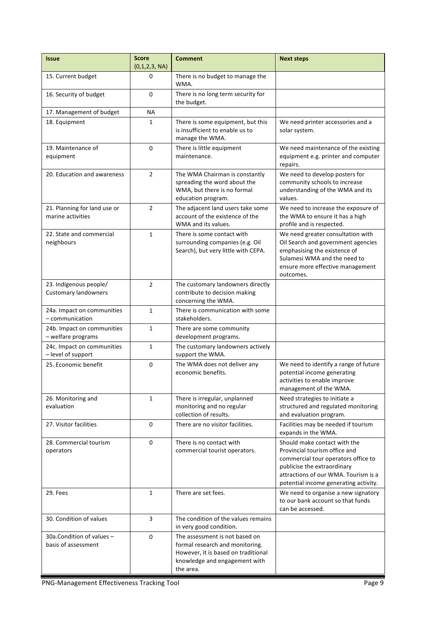| <b>Issue</b>                                          | <b>Score</b><br>(0,1,2,3, NA) | <b>Comment</b>                                                                                                                                         | <b>Next steps</b>                                                                                                                                                                                                    |
|-------------------------------------------------------|-------------------------------|--------------------------------------------------------------------------------------------------------------------------------------------------------|----------------------------------------------------------------------------------------------------------------------------------------------------------------------------------------------------------------------|
| 15. Current budget                                    | 0                             | There is no budget to manage the<br>WMA.                                                                                                               |                                                                                                                                                                                                                      |
| 16. Security of budget                                | $\Omega$                      | There is no long term security for<br>the budget.                                                                                                      |                                                                                                                                                                                                                      |
| 17. Management of budget                              | <b>NA</b>                     |                                                                                                                                                        |                                                                                                                                                                                                                      |
| 18. Equipment                                         | 1                             | There is some equipment, but this<br>is insufficient to enable us to<br>manage the WMA.                                                                | We need printer accessories and a<br>solar system.                                                                                                                                                                   |
| 19. Maintenance of<br>equipment                       | 0                             | There is little equipment<br>maintenance.                                                                                                              | We need maintenance of the existing<br>equipment e.g. printer and computer<br>repairs.                                                                                                                               |
| 20. Education and awareness                           | $\overline{2}$                | The WMA Chairman is constantly<br>spreading the word about the<br>WMA, but there is no formal<br>education program.                                    | We need to develop posters for<br>community schools to increase<br>understanding of the WMA and its<br>values.                                                                                                       |
| 21. Planning for land use or<br>marine activities     | $\overline{2}$                | The adjacent land users take some<br>account of the existence of the<br>WMA and its values.                                                            | We need to increase the exposure of<br>the WMA to ensure it has a high<br>profile and is respected.                                                                                                                  |
| 22. State and commercial<br>neighbours                | $\mathbf{1}$                  | There is some contact with<br>surrounding companies (e.g. Oil<br>Search), but very little with CEPA.                                                   | We need greater consultation with<br>Oil Search and government agencies<br>emphasising the existence of<br>Sulamesi WMA and the need to<br>ensure more effective management<br>outcomes.                             |
| 23. Indigenous people/<br><b>Customary landowners</b> | $\overline{2}$                | The customary landowners directly<br>contribute to decision making<br>concerning the WMA.                                                              |                                                                                                                                                                                                                      |
| 24a. Impact on communities<br>- communication         | $\mathbf{1}$                  | There is communication with some<br>stakeholders.                                                                                                      |                                                                                                                                                                                                                      |
| 24b. Impact on communities<br>- welfare programs      | $\mathbf{1}$                  | There are some community<br>development programs.                                                                                                      |                                                                                                                                                                                                                      |
| 24c. Impact on communities<br>- level of support      | $\mathbf{1}$                  | The customary landowners actively<br>support the WMA.                                                                                                  |                                                                                                                                                                                                                      |
| 25. Economic benefit                                  | 0                             | The WMA does not deliver any<br>economic benefits.                                                                                                     | We need to identify a range of future<br>potential income generating<br>activities to enable improve<br>management of the WMA.                                                                                       |
| 26. Monitoring and<br>evaluation                      | 1                             | There is irregular, unplanned<br>monitoring and no regular<br>collection of results.                                                                   | Need strategies to initiate a<br>structured and regulated monitoring<br>and evaluation program.                                                                                                                      |
| 27. Visitor facilities                                | 0                             | There are no visitor facilities.                                                                                                                       | Facilities may be needed if tourism<br>expands in the WMA.                                                                                                                                                           |
| 28. Commercial tourism<br>operators                   | 0                             | There is no contact with<br>commercial tourist operators.                                                                                              | Should make contact with the<br>Provincial tourism office and<br>commercial tour operators office to<br>publicise the extraordinary<br>attractions of our WMA. Tourism is a<br>potential income generating activity. |
| 29. Fees                                              | $\mathbf{1}$                  | There are set fees.<br>We need to organise a new signatory<br>to our bank account so that funds<br>can be accessed.                                    |                                                                                                                                                                                                                      |
| 30. Condition of values                               | 3                             | The condition of the values remains<br>in very good condition.                                                                                         |                                                                                                                                                                                                                      |
| 30a.Condition of values -<br>basis of assessment      | 0                             | The assessment is not based on<br>formal research and monitoring.<br>However, it is based on traditional<br>knowledge and engagement with<br>the area. |                                                                                                                                                                                                                      |